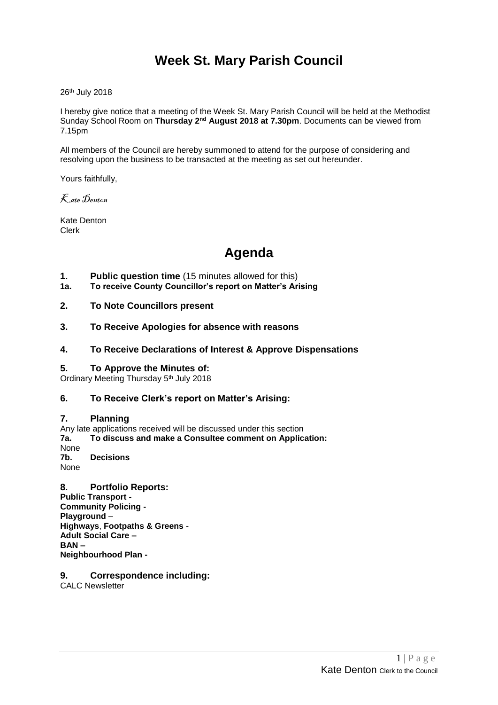# **Week St. Mary Parish Council**

26th July 2018

I hereby give notice that a meeting of the Week St. Mary Parish Council will be held at the Methodist Sunday School Room on Thursday 2<sup>nd</sup> August 2018 at 7.30pm. Documents can be viewed from 7.15pm

All members of the Council are hereby summoned to attend for the purpose of considering and resolving upon the business to be transacted at the meeting as set out hereunder.

Yours faithfully,

Kate Denton

Kate Denton Clerk

# **Agenda**

- **1. Public question time** (15 minutes allowed for this)
- **1a. To receive County Councillor's report on Matter's Arising**
- **2. To Note Councillors present**
- **3. To Receive Apologies for absence with reasons**

### **4. To Receive Declarations of Interest & Approve Dispensations**

### **5. To Approve the Minutes of:**

Ordinary Meeting Thursday 5<sup>th</sup> July 2018

## **6. To Receive Clerk's report on Matter's Arising:**

### **7. Planning**

Any late applications received will be discussed under this section **7a. To discuss and make a Consultee comment on Application:** None **7b. Decisions** None

- **8. Portfolio Reports: Public Transport - Community Policing - Playground** – **Highways**, **Footpaths & Greens** - **Adult Social Care – BAN – Neighbourhood Plan -**
- **9. Correspondence including:**

CALC Newsletter